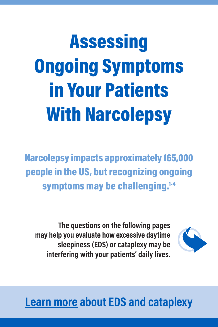# Assessing Ongoing Symptoms in Your Patients With Narcolepsy

Narcolepsy impacts approximately 165,000 people in the US, but recognizing ongoing symptoms may be challenging.<sup>1-4</sup>

**The questions on the following pages may help you evaluate how excessive daytime sleepiness (EDS) or cataplexy may be interfering with your patients' daily lives.**



### **[Learn more](https://wakixhcp.com/narcolepsy/) about EDS and cataplexy**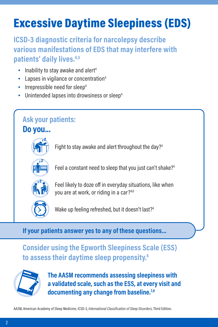### Excessive Daytime Sleepiness (EDS)

**ICSD-3 diagnostic criteria for narcolepsy describe various manifestations of EDS that may interfere with patients' daily lives.4,5**

- $\bullet$  Inability to stay awake and alert<sup>4</sup>
- Lapses in vigilance or concentration<sup>4</sup>
- Irrepressible need for sleep<sup>4</sup>
- Unintended lapses into drowsiness or sleep<sup>4</sup>

#### **Ask your patients:**

**Do you...**

Fight to stay awake and alert throughout the day?<sup>4</sup>



**ZZ**

Feel a constant need to sleep that you just can't shake?<sup>4</sup>



Feel likely to doze off in everyday situations, like when you are at work, or riding in a car?4,6



Wake up feeling refreshed, but it doesn't last?<sup>4</sup>

**If your patients answer yes to any of these questions…**

#### **Consider using the Epworth Sleepiness Scale (ESS) to assess their daytime sleep propensity.6**



**The AASM recommends assessing sleepiness with a validated scale, such as the ESS, at every visit and documenting any change from baseline.7,8**

AASM, American Academy of Sleep Medicine; ICSD-3, *International Classification of Sleep Disorders*, Third Edition.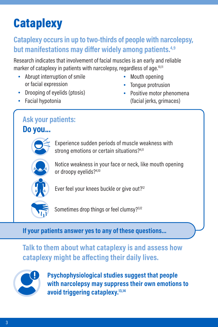### **Cataplexy**

#### **Cataplexy occurs in up to two-thirds of people with narcolepsy, but manifestations may differ widely among patients.4,9**

Research indicates that involvement of facial muscles is an early and reliable marker of cataplexy in patients with narcolepsy, regardless of age.<sup>10,11</sup>

- Abrupt interruption of smile or facial expression
- Drooping of eyelids (ptosis)
- Facial hypotonia
- Mouth opening
- Tongue protrusion
- Positive motor phenomena (facial jerks, grimaces)

### **Ask your patients:**

**Do you...**

Experience sudden periods of muscle weakness with strong emotions or certain situations?<sup>4,11</sup>



Notice weakness in your face or neck, like mouth opening or droopy evelids?<sup>4,10</sup>



Ever feel your knees buckle or give out?<sup>12</sup>



Sometimes drop things or feel clumsy?<sup>3,12</sup>

**If your patients answer yes to any of these questions…**

**Talk to them about what cataplexy is and assess how cataplexy might be affecting their daily lives.** 



**Psychophysiological studies suggest that people with narcolepsy may suppress their own emotions to avoid triggering cataplexy.13,14**